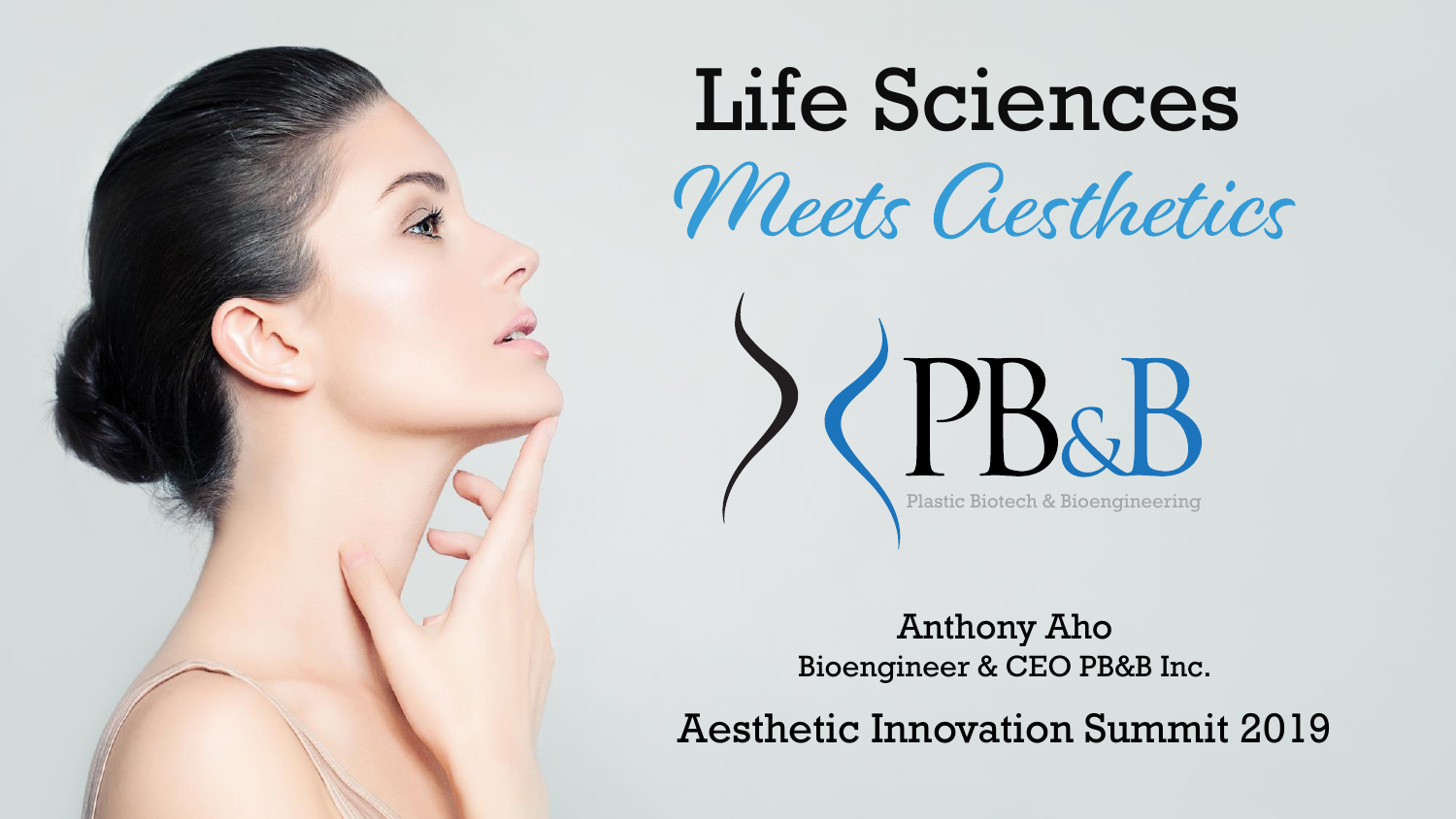

# Life Sciences Meets Aesthetics

Anthony Aho Bioengineer & CEO PB&B Inc.

CPB&B

Plastic Biotech & Bioengineering

Aesthetic Innovation Summit 2019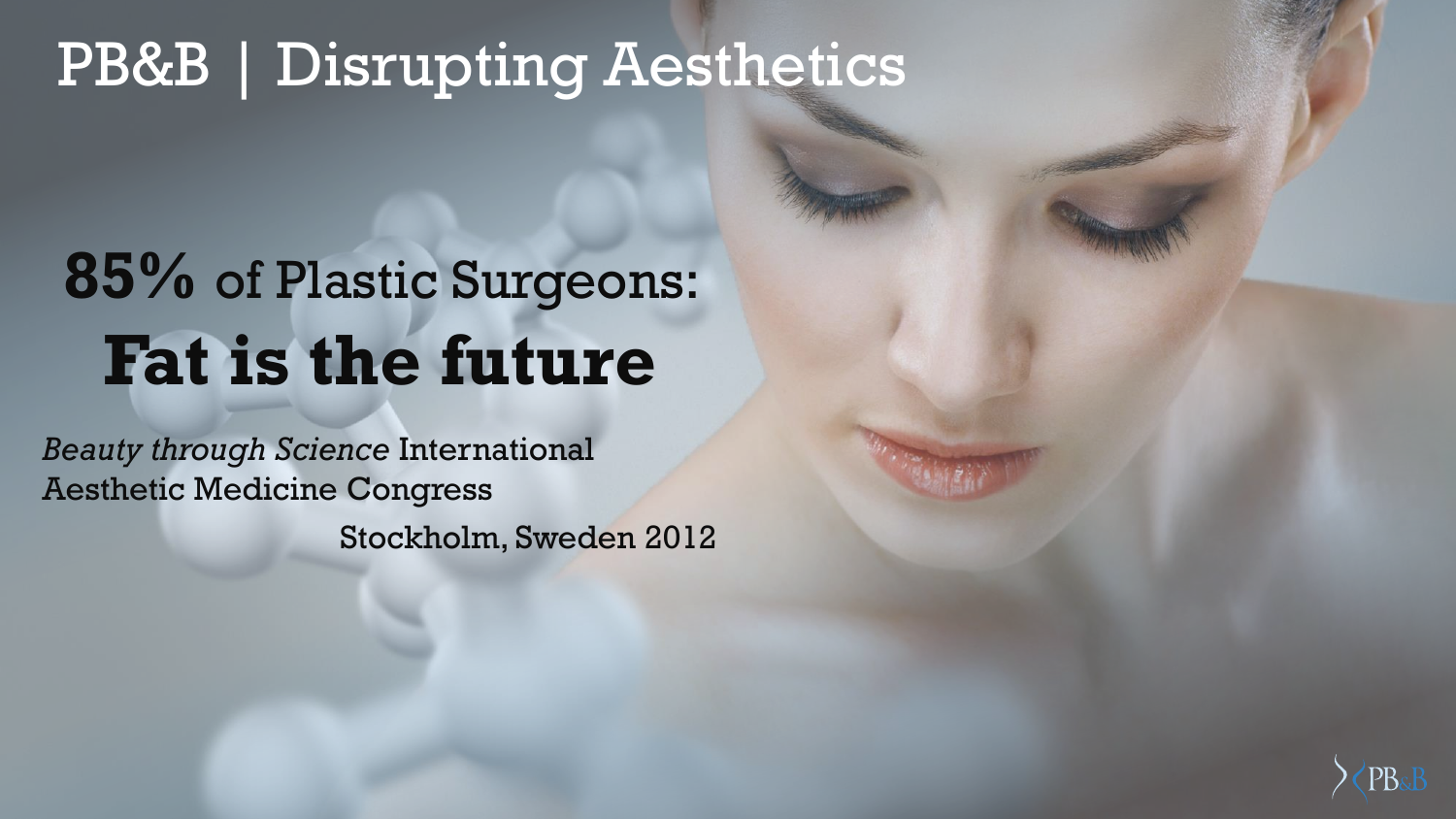#### PB&B | Disrupting Aesthetics

# **85%** of Plastic Surgeons: **Fat is the future**

*Beauty through Science* International Aesthetic Medicine Congress Stockholm, Sweden 2012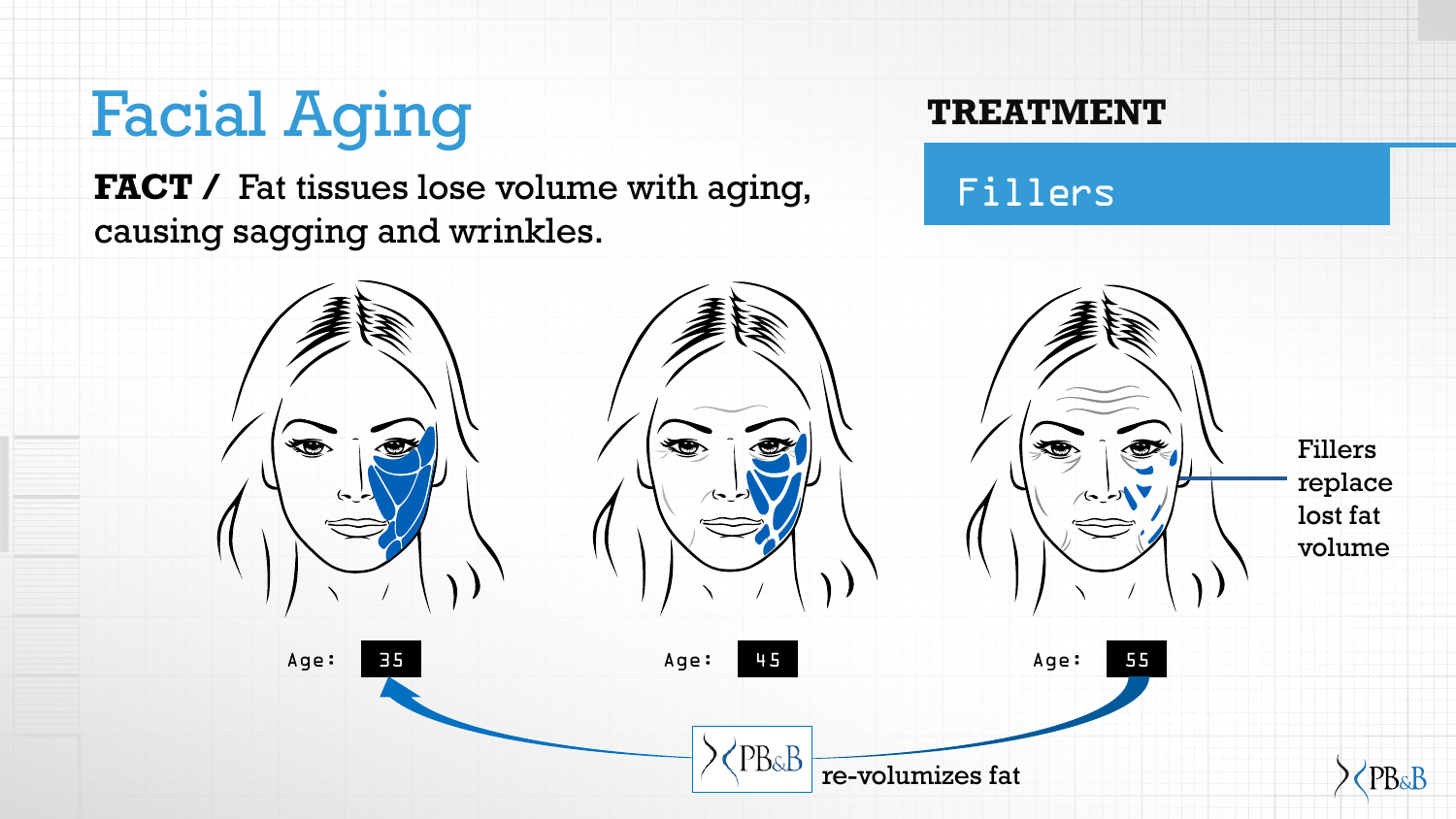### Facial Aging

FACT / Fat tissues lose volume with aging, causing sagging and wrinkles.

#### **TREATMENT**

Fillers

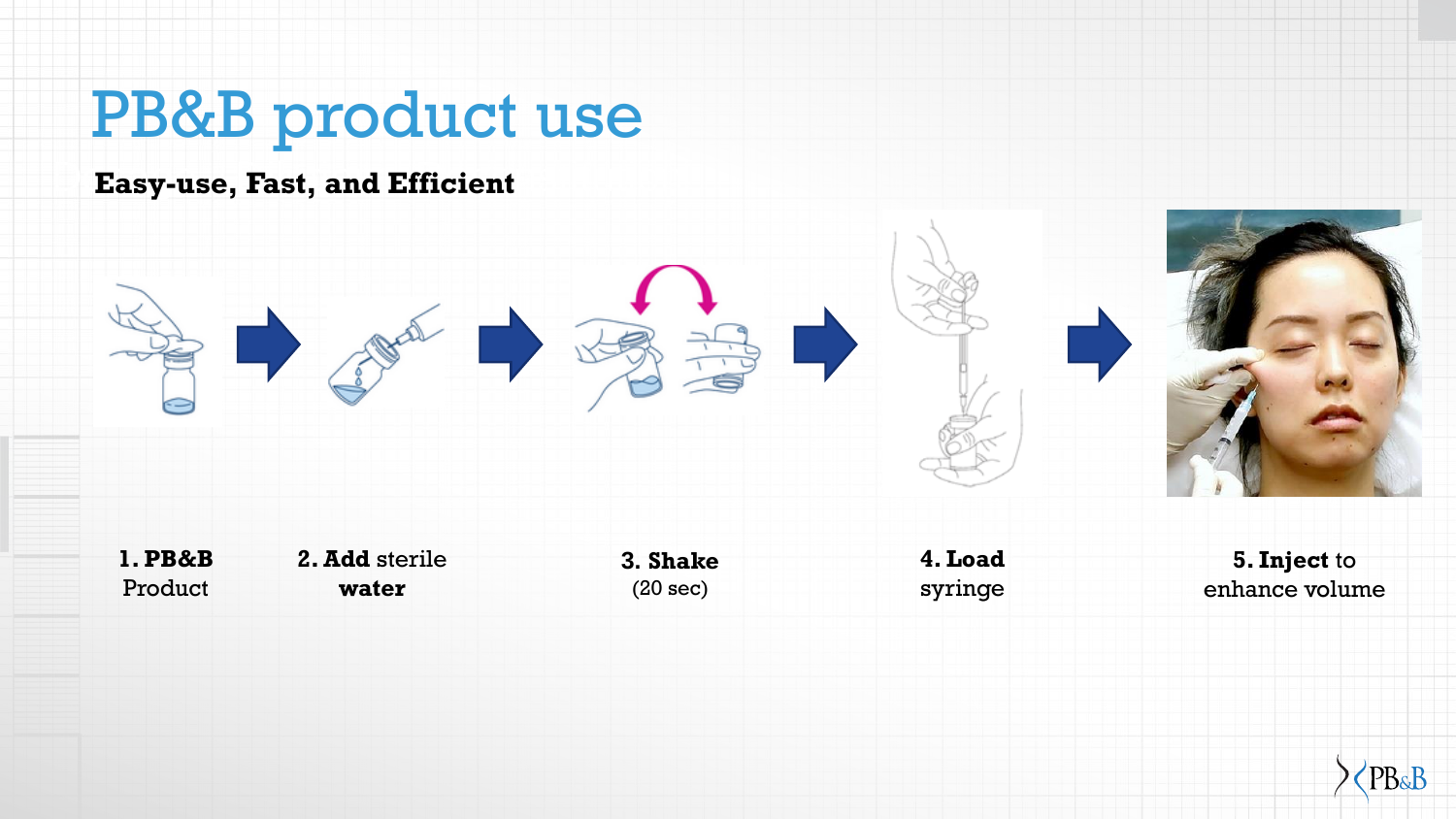### PB&B product use

#### **Easy-use, Fast, and Efficient**



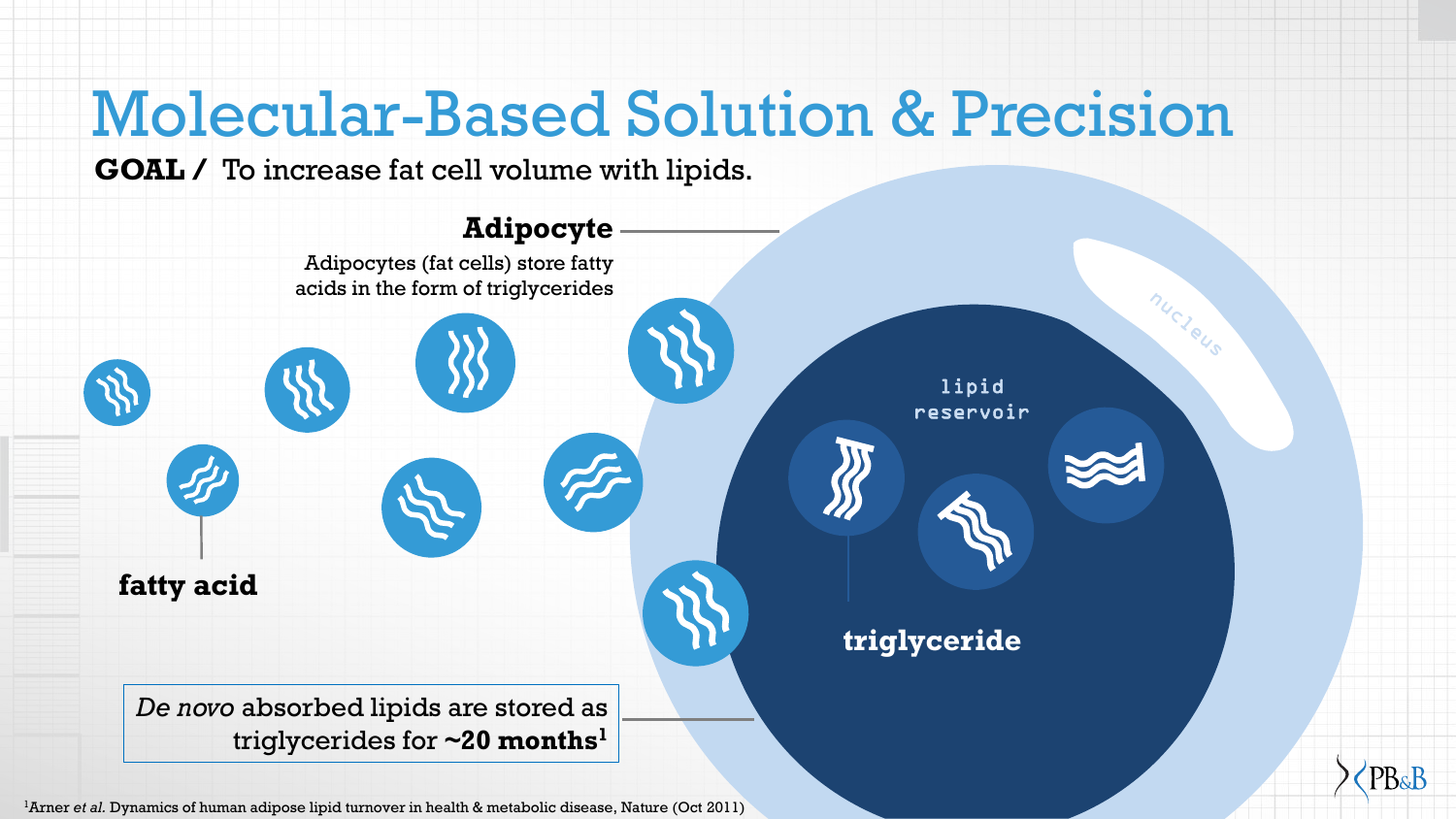

1Arner *et al.* Dynamics of human adipose lipid turnover in health & metabolic disease, Nature (Oct 2011)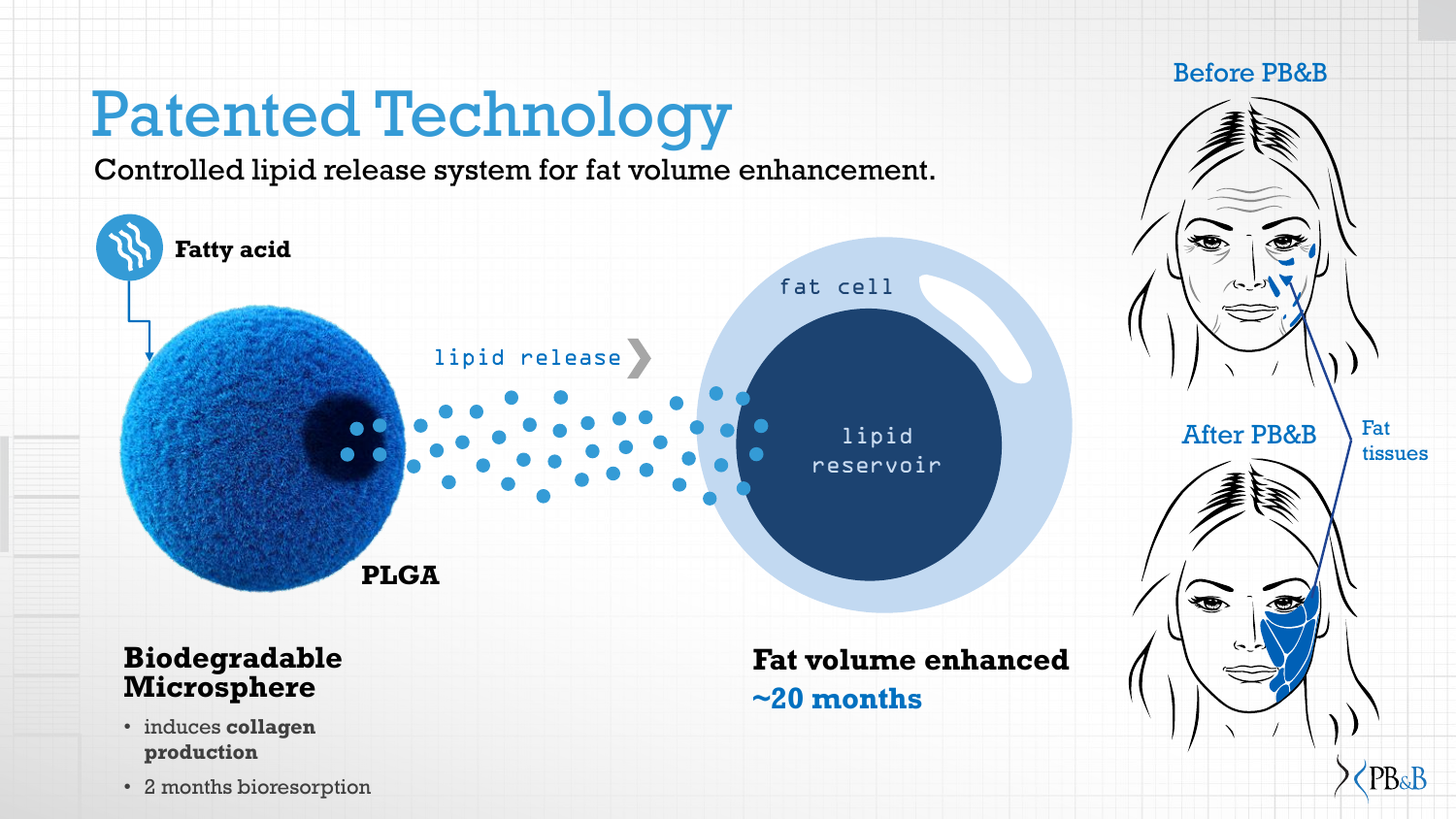## Patented Technology

Controlled lipid release system for fat volume enhancement.



• 2 months bioresorption

PB&B

Before PB&B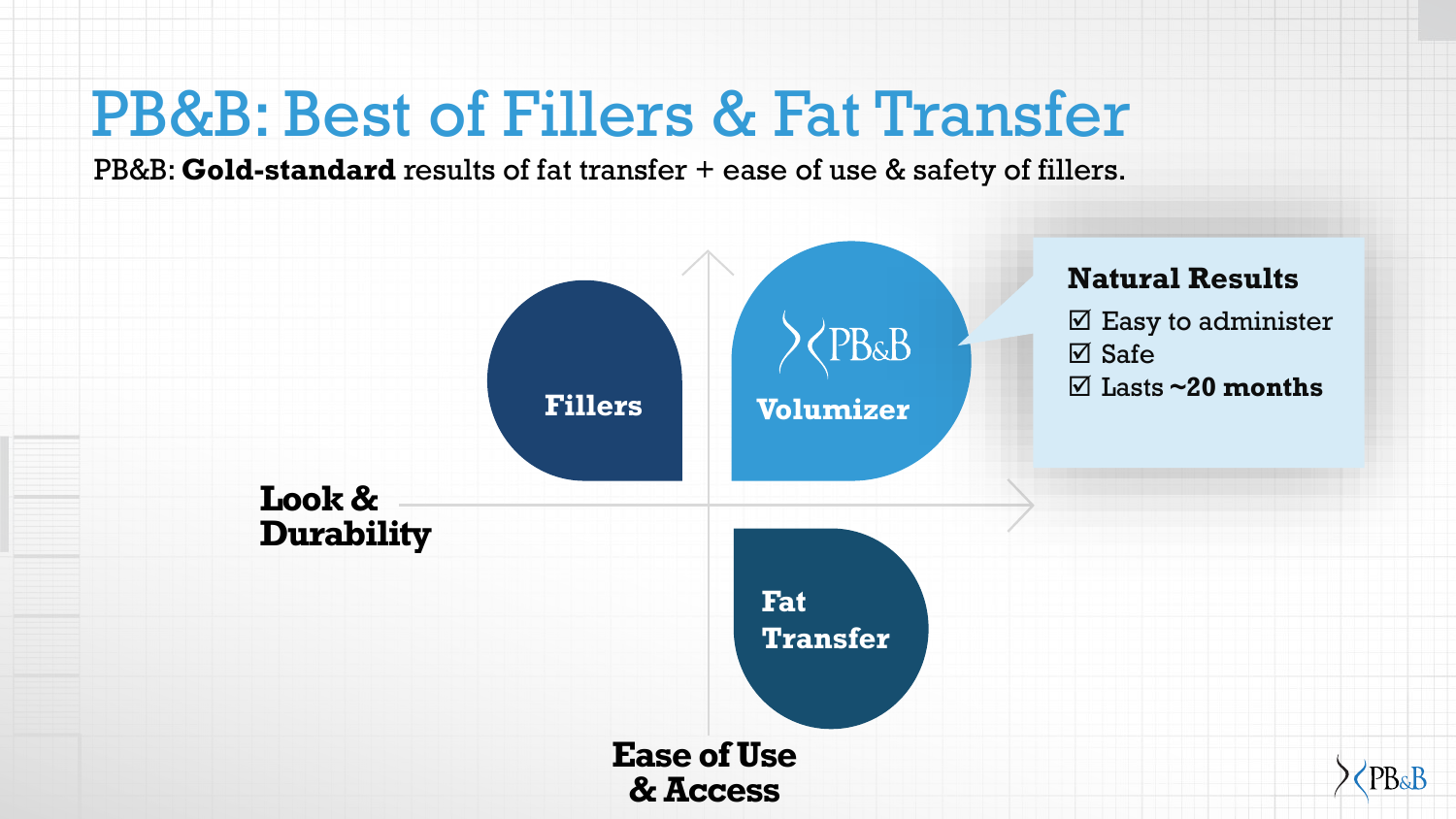#### PB&B: Best of Fillers & Fat Transfer

PB&B: **Gold-standard** results of fat transfer + ease of use & safety of fillers.

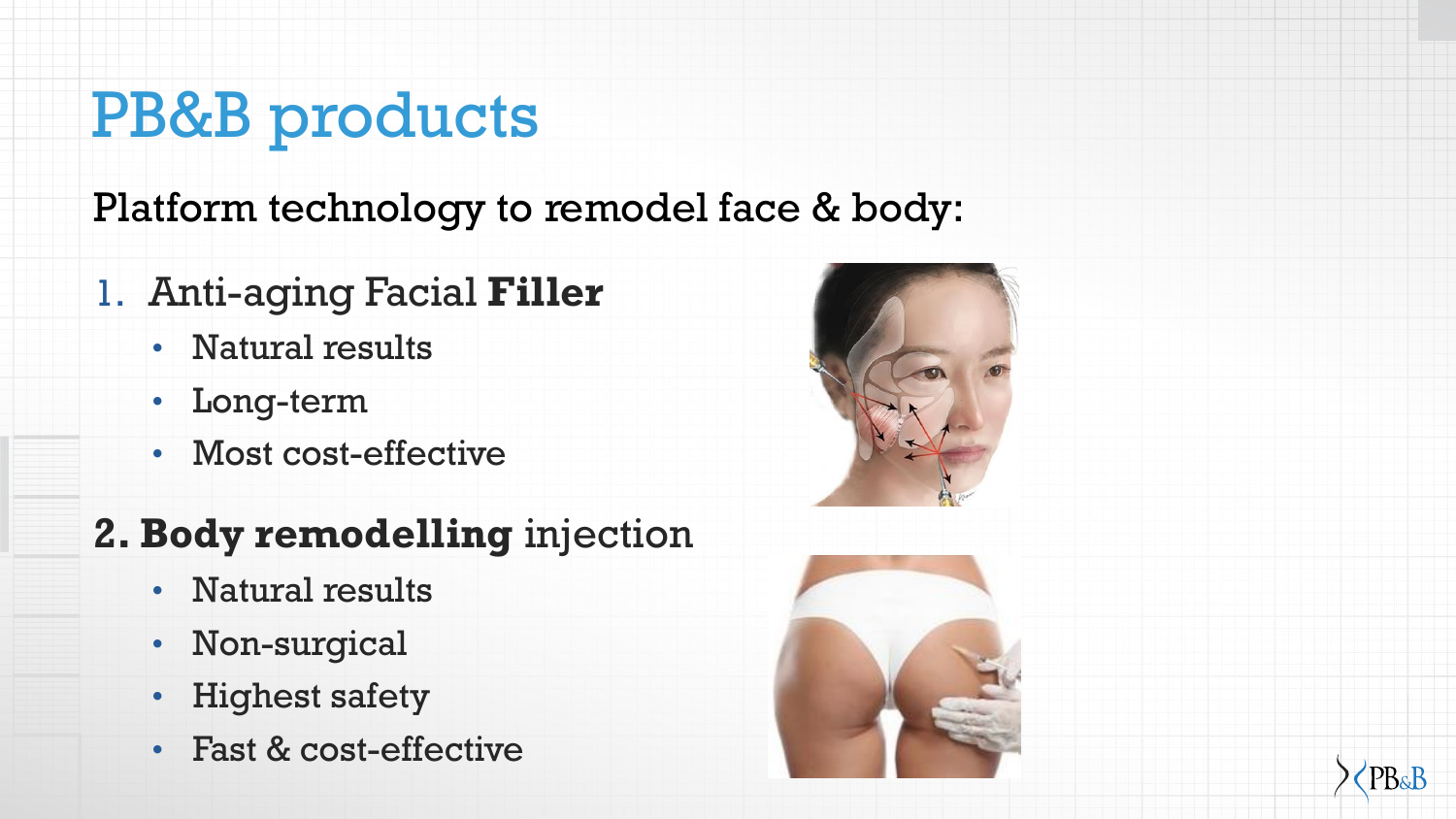## PB&B products

Platform technology to remodel face & body:

- 1. Anti-aging Facial **Filler** 
	- Natural results
	- Long-term
	- Most cost-effective

#### **2. Body remodelling** injection

- Natural results
- Non-surgical
- **Highest safety**
- Fast & cost-effective





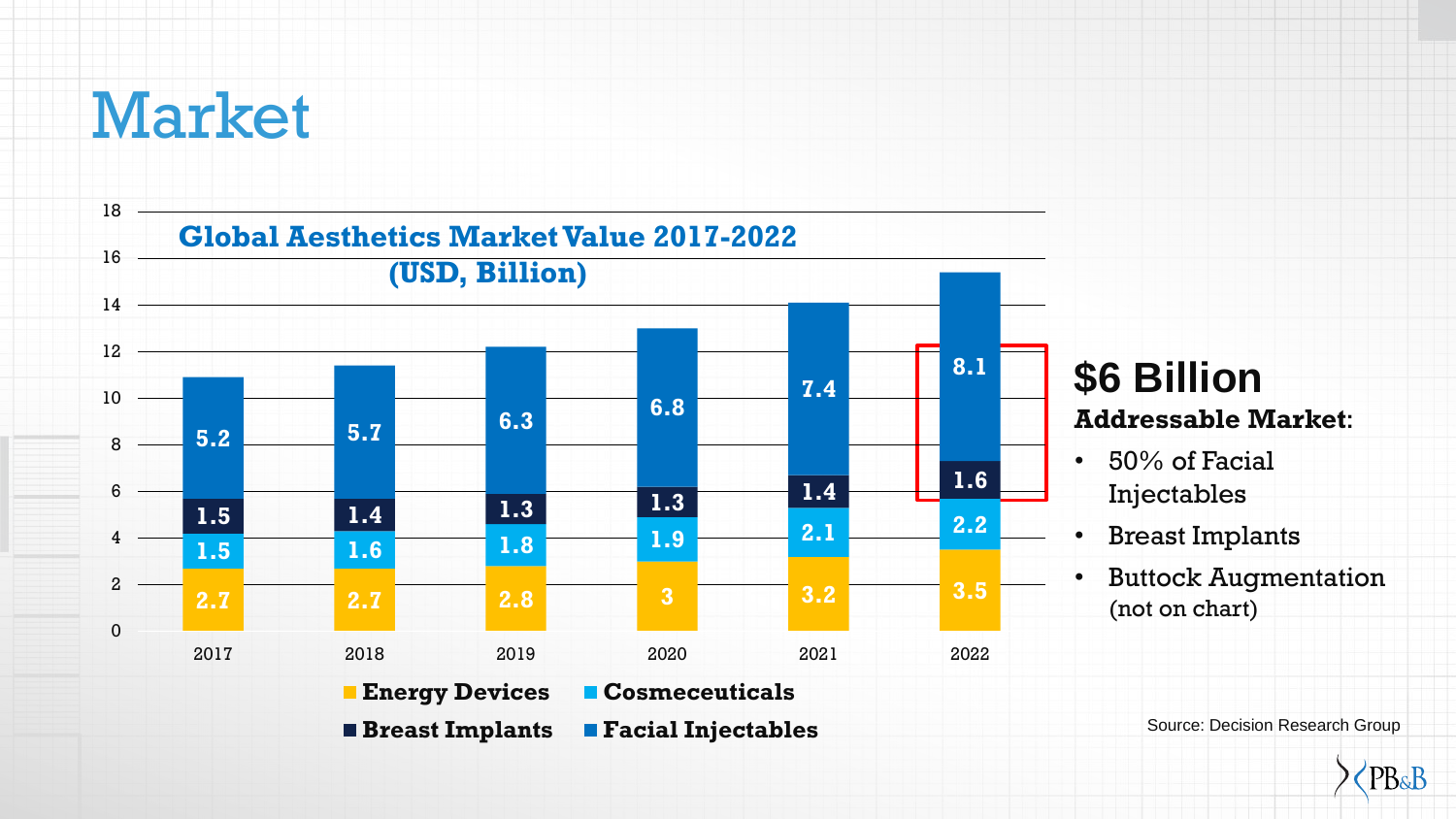#### Market



#### **\$6 Billion Addressable Market**:

- 50% of Facial Injectables
- Breast Implants
- Buttock Augmentation (not on chart)

Source: Decision Research Group

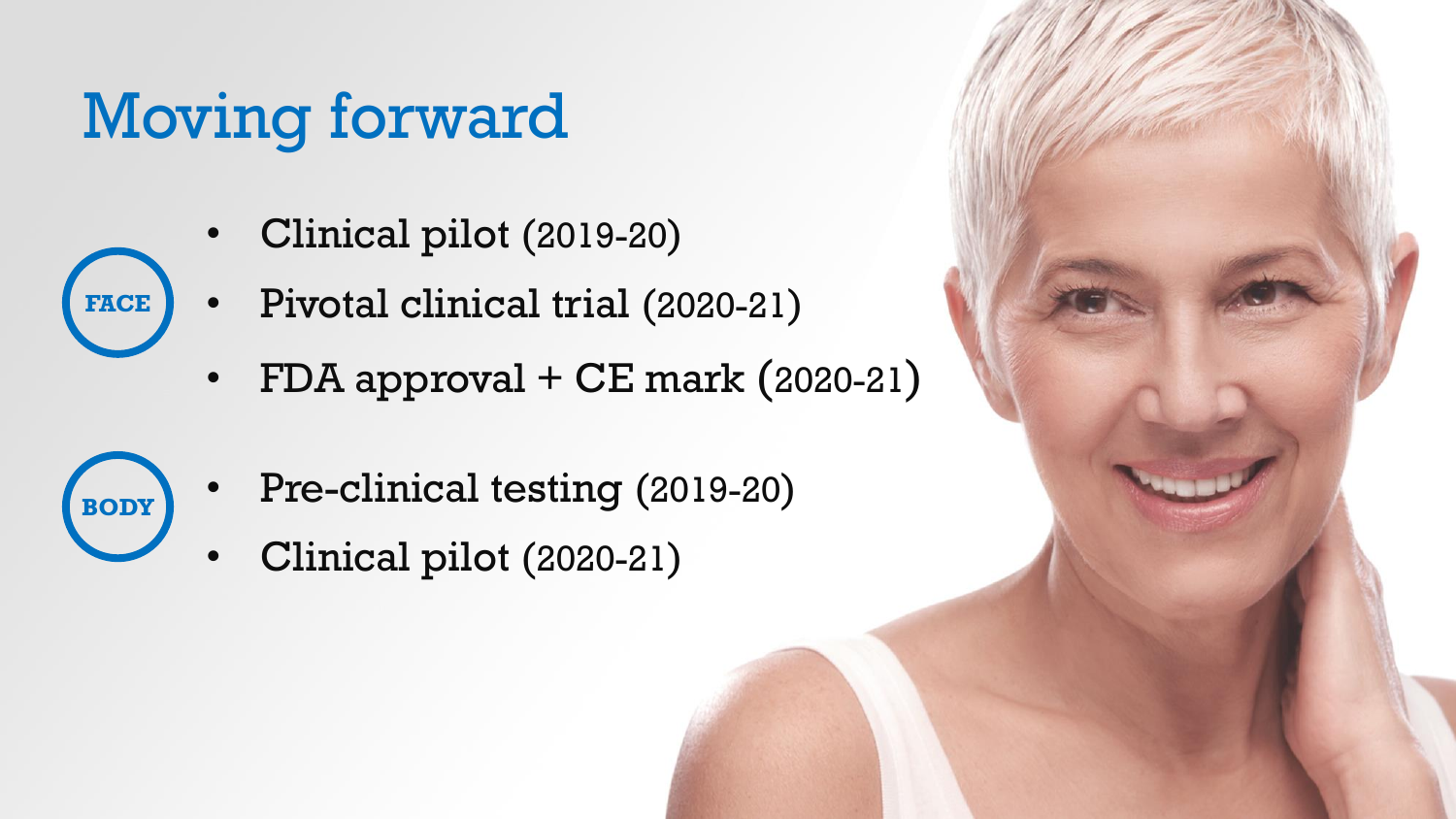# Moving forward

**FACE**

**BODY**

- Clinical pilot (2019-20)
- Pivotal clinical trial (2020-21)
	- FDA approval + CE mark (2020-21)
	- Pre-clinical testing (2019-20)
	- Clinical pilot (2020-21)